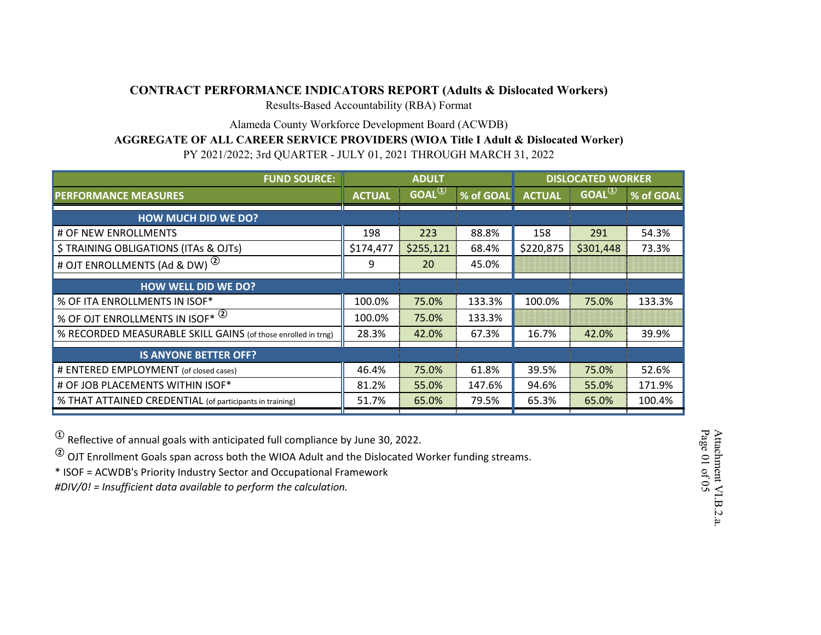### **CONTRACT PERFORMANCE INDICATORS REPORT (Adults & Dislocated Workers)**

Results-Based Accountability (RBA) Format

Alameda County Workforce Development Board (ACWDB)

### **AGGREGATE OF ALL CAREER SERVICE PROVIDERS (WIOA Title I Adult & Dislocated Worker)**

PY 2021/2022; 3rd QUARTER - JULY 01, 2021 THROUGH MARCH 31, 2022

| <b>FUND SOURCE:</b>                                           | <b>ADULT</b>  |              |           | <b>DISLOCATED WORKER</b> |                   |           |
|---------------------------------------------------------------|---------------|--------------|-----------|--------------------------|-------------------|-----------|
| <b>PERFORMANCE MEASURES</b>                                   | <b>ACTUAL</b> | $GOAL^{(1)}$ | % of GOAL | <b>ACTUAL</b>            | GOAL <sup>1</sup> | % of GOAL |
| <b>HOW MUCH DID WE DO?</b>                                    |               |              |           |                          |                   |           |
| # OF NEW ENROLLMENTS                                          | 198           | 223          | 88.8%     | 158                      | 291               | 54.3%     |
| \$ TRAINING OBLIGATIONS (ITAs & OJTs)                         | \$174,477     | \$255,121    | 68.4%     | \$220,875                | \$301,448         | 73.3%     |
| $\circled{2}$<br># OJT ENROLLMENTS (Ad & DW)                  | 9             | 20           | 45.0%     |                          |                   |           |
| <b>HOW WELL DID WE DO?</b>                                    |               |              |           |                          |                   |           |
| % OF ITA ENROLLMENTS IN ISOF*                                 | 100.0%        | 75.0%        | 133.3%    | 100.0%                   | 75.0%             | 133.3%    |
| % OF OJT ENROLLMENTS IN ISOF* <sup>(2)</sup>                  | 100.0%        | 75.0%        | 133.3%    |                          |                   |           |
| % RECORDED MEASURABLE SKILL GAINS (of those enrolled in trng) | 28.3%         | 42.0%        | 67.3%     | 16.7%                    | 42.0%             | 39.9%     |
| <b>IS ANYONE BETTER OFF?</b>                                  |               |              |           |                          |                   |           |
| # ENTERED EMPLOYMENT (of closed cases)                        | 46.4%         | 75.0%        | 61.8%     | 39.5%                    | 75.0%             | 52.6%     |
| # OF JOB PLACEMENTS WITHIN ISOF*                              | 81.2%         | 55.0%        | 147.6%    | 94.6%                    | 55.0%             | 171.9%    |
| % THAT ATTAINED CREDENTIAL (of participants in training)      | 51.7%         | 65.0%        | 79.5%     | 65.3%                    | 65.0%             | 100.4%    |

**<sup>①</sup>** Reflective of annual goals with anticipated full compliance by June 30, 2022.

**<sup>②</sup>** OJT Enrollment Goals span across both the WIOA Adult and the Dislocated Worker funding streams.

\* ISOF = ACWDB's Priority Industry Sector and Occupational Framework

*#DIV/0! = Insufficient data available to perform the calculation.*

Page Attachment VI.B.2.a. 01 of 05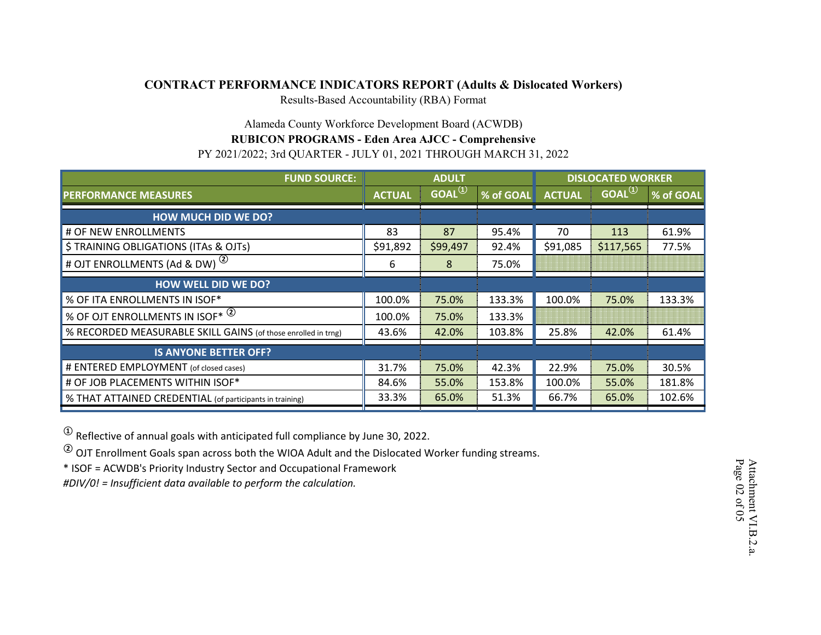## **CONTRACT PERFORMANCE INDICATORS REPORT (Adults & Dislocated Workers)**

Results-Based Accountability (RBA) Format

# Alameda County Workforce Development Board (ACWDB)

# **RUBICON PROGRAMS - Eden Area AJCC - Comprehensive**

PY 2021/2022; 3rd QUARTER - JULY 01, 2021 THROUGH MARCH 31, 2022

| <b>FUND SOURCE:</b>                                           | <b>ADULT</b>  |                     |           | <b>DISLOCATED WORKER</b> |                     |           |
|---------------------------------------------------------------|---------------|---------------------|-----------|--------------------------|---------------------|-----------|
| <b>PERFORMANCE MEASURES</b>                                   | <b>ACTUAL</b> | GOAL <sup>(1)</sup> | % of GOAL | <b>ACTUAL</b>            | GOAL <sup>(1)</sup> | % of GOAL |
| <b>HOW MUCH DID WE DO?</b>                                    |               |                     |           |                          |                     |           |
| # OF NEW ENROLLMENTS                                          | 83            | 87                  | 95.4%     | 70                       | 113                 | 61.9%     |
| \$ TRAINING OBLIGATIONS (ITAs & OJTs)                         | \$91,892      | \$99,497            | 92.4%     | \$91,085                 | \$117,565           | 77.5%     |
| # OJT ENROLLMENTS (Ad & DW) <sup>(2)</sup>                    | 6             | 8                   | 75.0%     |                          |                     |           |
| <b>HOW WELL DID WE DO?</b>                                    |               |                     |           |                          |                     |           |
| % OF ITA ENROLLMENTS IN ISOF*                                 | 100.0%        | 75.0%               | 133.3%    | 100.0%                   | 75.0%               | 133.3%    |
| % OF OJT ENROLLMENTS IN ISOF* <sup>(2)</sup>                  | 100.0%        | 75.0%               | 133.3%    |                          |                     |           |
| % RECORDED MEASURABLE SKILL GAINS (of those enrolled in trng) | 43.6%         | 42.0%               | 103.8%    | 25.8%                    | 42.0%               | 61.4%     |
| <b>IS ANYONE BETTER OFF?</b>                                  |               |                     |           |                          |                     |           |
| # ENTERED EMPLOYMENT (of closed cases)                        | 31.7%         | 75.0%               | 42.3%     | 22.9%                    | 75.0%               | 30.5%     |
| # OF JOB PLACEMENTS WITHIN ISOF*                              | 84.6%         | 55.0%               | 153.8%    | 100.0%                   | 55.0%               | 181.8%    |
| % THAT ATTAINED CREDENTIAL (of participants in training)      | 33.3%         | 65.0%               | 51.3%     | 66.7%                    | 65.0%               | 102.6%    |

**<sup>①</sup>** Reflective of annual goals with anticipated full compliance by June 30, 2022.

**<sup>②</sup>** OJT Enrollment Goals span across both the WIOA Adult and the Dislocated Worker funding streams.

\* ISOF = ACWDB's Priority Industry Sector and Occupational Framework

*#DIV/0! = Insufficient data available to perform the calculation.*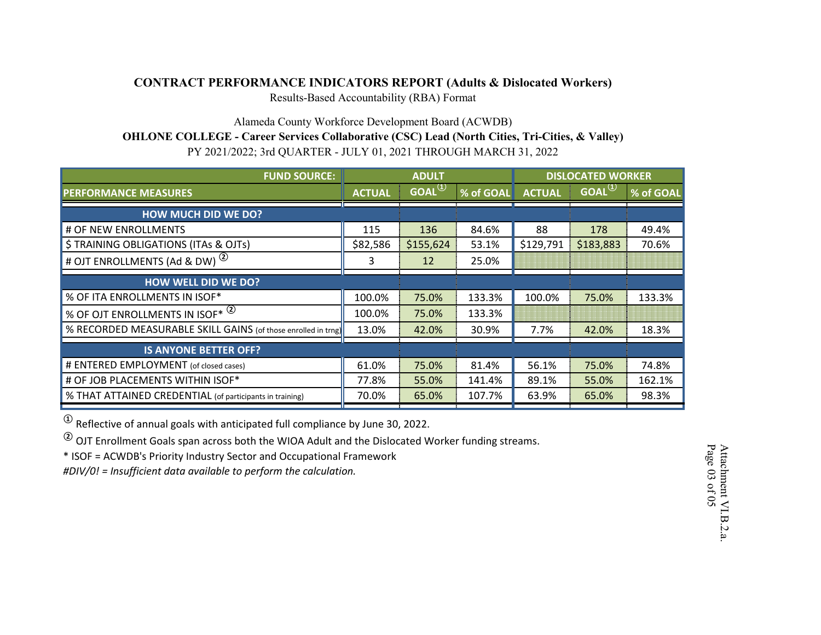### **CONTRACT PERFORMANCE INDICATORS REPORT (Adults & Dislocated Workers)**

Results-Based Accountability (RBA) Format

Alameda County Workforce Development Board (ACWDB)

**OHLONE COLLEGE - Career Services Collaborative (CSC) Lead (North Cities, Tri-Cities, & Valley)**

PY 2021/2022; 3rd QUARTER - JULY 01, 2021 THROUGH MARCH 31, 2022

| <b>FUND SOURCE:</b>                                           | <b>ADULT</b>  |                                |           | <b>DISLOCATED WORKER</b> |                                |           |
|---------------------------------------------------------------|---------------|--------------------------------|-----------|--------------------------|--------------------------------|-----------|
| <b>PERFORMANCE MEASURES</b>                                   | <b>ACTUAL</b> | $GOAL^{\textcircled{\tiny 1}}$ | % of GOAL | <b>ACTUAL</b>            | $GOAL^{\textcircled{\tiny 1}}$ | % of GOAL |
| <b>HOW MUCH DID WE DO?</b>                                    |               |                                |           |                          |                                |           |
| # OF NEW ENROLLMENTS                                          | 115           | 136                            | 84.6%     | 88                       | 178                            | 49.4%     |
| \$ TRAINING OBLIGATIONS (ITAs & OJTs)                         | \$82,586      | \$155,624                      | 53.1%     | \$129,791                | \$183,883                      | 70.6%     |
| # OJT ENROLLMENTS (Ad & DW) <sup>(2)</sup>                    | 3             | 12                             | 25.0%     |                          |                                |           |
| <b>HOW WELL DID WE DO?</b>                                    |               |                                |           |                          |                                |           |
| % OF ITA ENROLLMENTS IN ISOF*                                 | 100.0%        | 75.0%                          | 133.3%    | 100.0%                   | 75.0%                          | 133.3%    |
| % OF OJT ENROLLMENTS IN ISOF* (2)                             | 100.0%        | 75.0%                          | 133.3%    |                          |                                |           |
| % RECORDED MEASURABLE SKILL GAINS (of those enrolled in trng) | 13.0%         | 42.0%                          | 30.9%     | 7.7%                     | 42.0%                          | 18.3%     |
| <b>IS ANYONE BETTER OFF?</b>                                  |               |                                |           |                          |                                |           |
| # ENTERED EMPLOYMENT (of closed cases)                        | 61.0%         | 75.0%                          | 81.4%     | 56.1%                    | 75.0%                          | 74.8%     |
| # OF JOB PLACEMENTS WITHIN ISOF*                              | 77.8%         | 55.0%                          | 141.4%    | 89.1%                    | 55.0%                          | 162.1%    |
| % THAT ATTAINED CREDENTIAL (of participants in training)      | 70.0%         | 65.0%                          | 107.7%    | 63.9%                    | 65.0%                          | 98.3%     |

**<sup>①</sup>** Reflective of annual goals with anticipated full compliance by June 30, 2022.

**<sup>②</sup>** OJT Enrollment Goals span across both the WIOA Adult and the Dislocated Worker funding streams.

\* ISOF = ACWDB's Priority Industry Sector and Occupational Framework

*#DIV/0! = Insufficient data available to perform the calculation.*